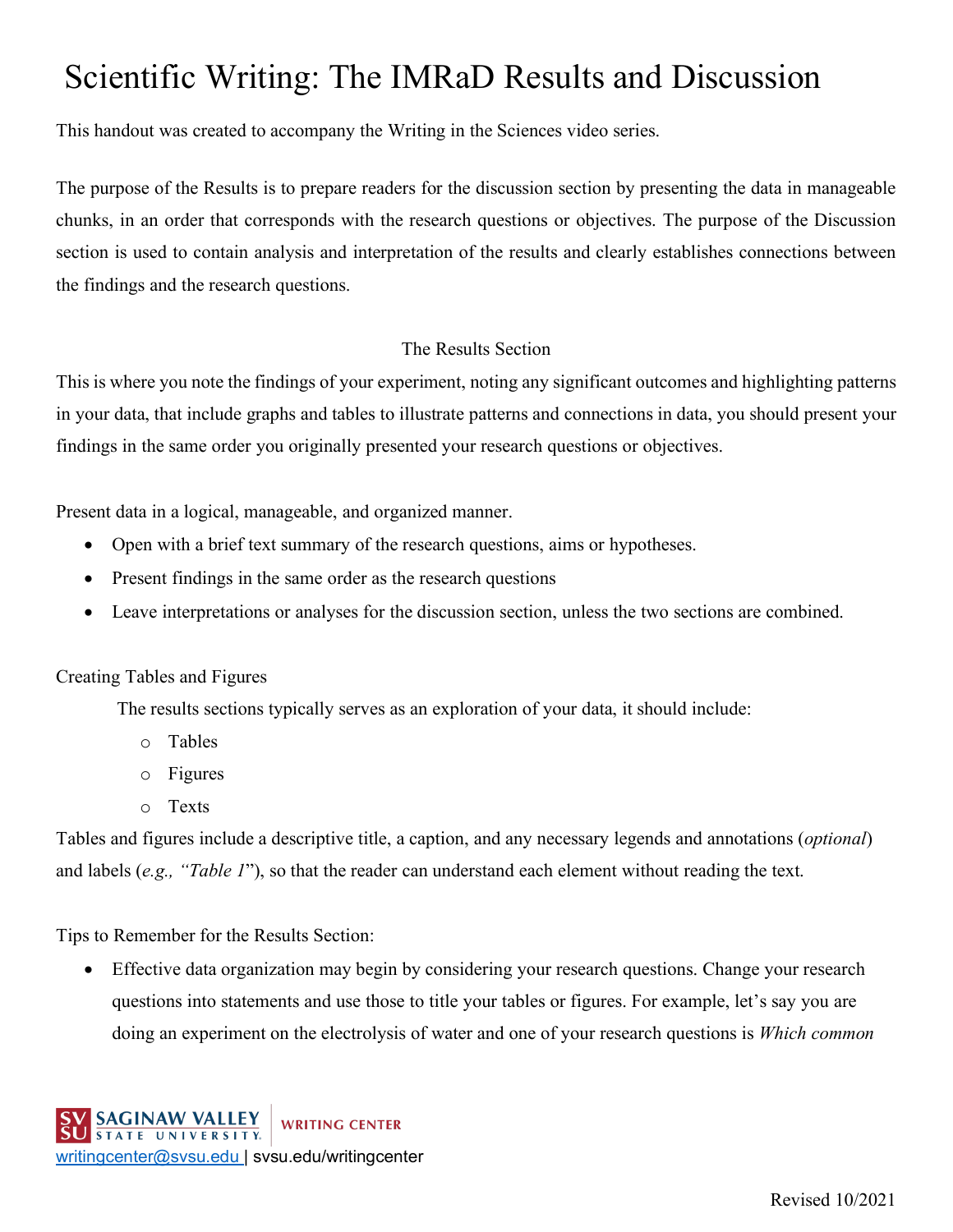# Scientific Writing: The IMRaD Results and Discussion

This handout was created to accompany the Writing in the Sciences video series.

The purpose of the Results is to prepare readers for the discussion section by presenting the data in manageable chunks, in an order that corresponds with the research questions or objectives. The purpose of the Discussion section is used to contain analysis and interpretation of the results and clearly establishes connections between the findings and the research questions.

### The Results Section

This is where you note the findings of your experiment, noting any significant outcomes and highlighting patterns in your data, that include graphs and tables to illustrate patterns and connections in data, you should present your findings in the same order you originally presented your research questions or objectives.

Present data in a logical, manageable, and organized manner.

- Open with a brief text summary of the research questions, aims or hypotheses.
- Present findings in the same order as the research questions
- Leave interpretations or analyses for the discussion section, unless the two sections are combined.

### Creating Tables and Figures

The results sections typically serves as an exploration of your data, it should include:

- o Tables
- o Figures
- o Texts

Tables and figures include a descriptive title, a caption, and any necessary legends and annotations (*optional*) and labels (*e.g., "Table 1*"), so that the reader can understand each element without reading the text.

Tips to Remember for the Results Section:

• Effective data organization may begin by considering your research questions. Change your research questions into statements and use those to title your tables or figures. For example, let's say you are doing an experiment on the electrolysis of water and one of your research questions is *Which common*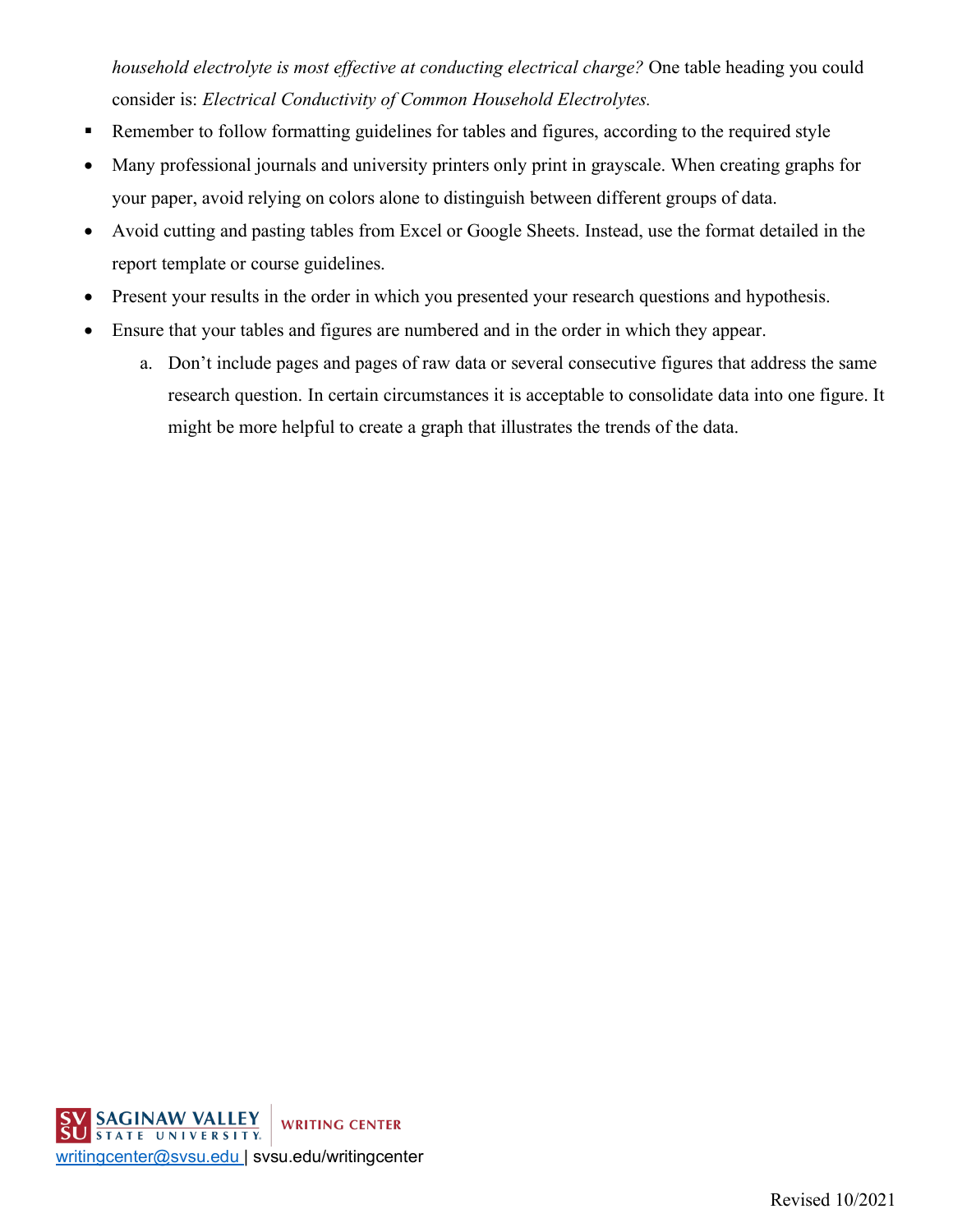*household electrolyte is most effective at conducting electrical charge?* One table heading you could consider is: *Electrical Conductivity of Common Household Electrolytes.*

- Remember to follow formatting guidelines for tables and figures, according to the required style
- Many professional journals and university printers only print in grayscale. When creating graphs for your paper, avoid relying on colors alone to distinguish between different groups of data.
- Avoid cutting and pasting tables from Excel or Google Sheets. Instead, use the format detailed in the report template or course guidelines.
- Present your results in the order in which you presented your research questions and hypothesis.
- Ensure that your tables and figures are numbered and in the order in which they appear.
	- a. Don't include pages and pages of raw data or several consecutive figures that address the same research question. In certain circumstances it is acceptable to consolidate data into one figure. It might be more helpful to create a graph that illustrates the trends of the data.

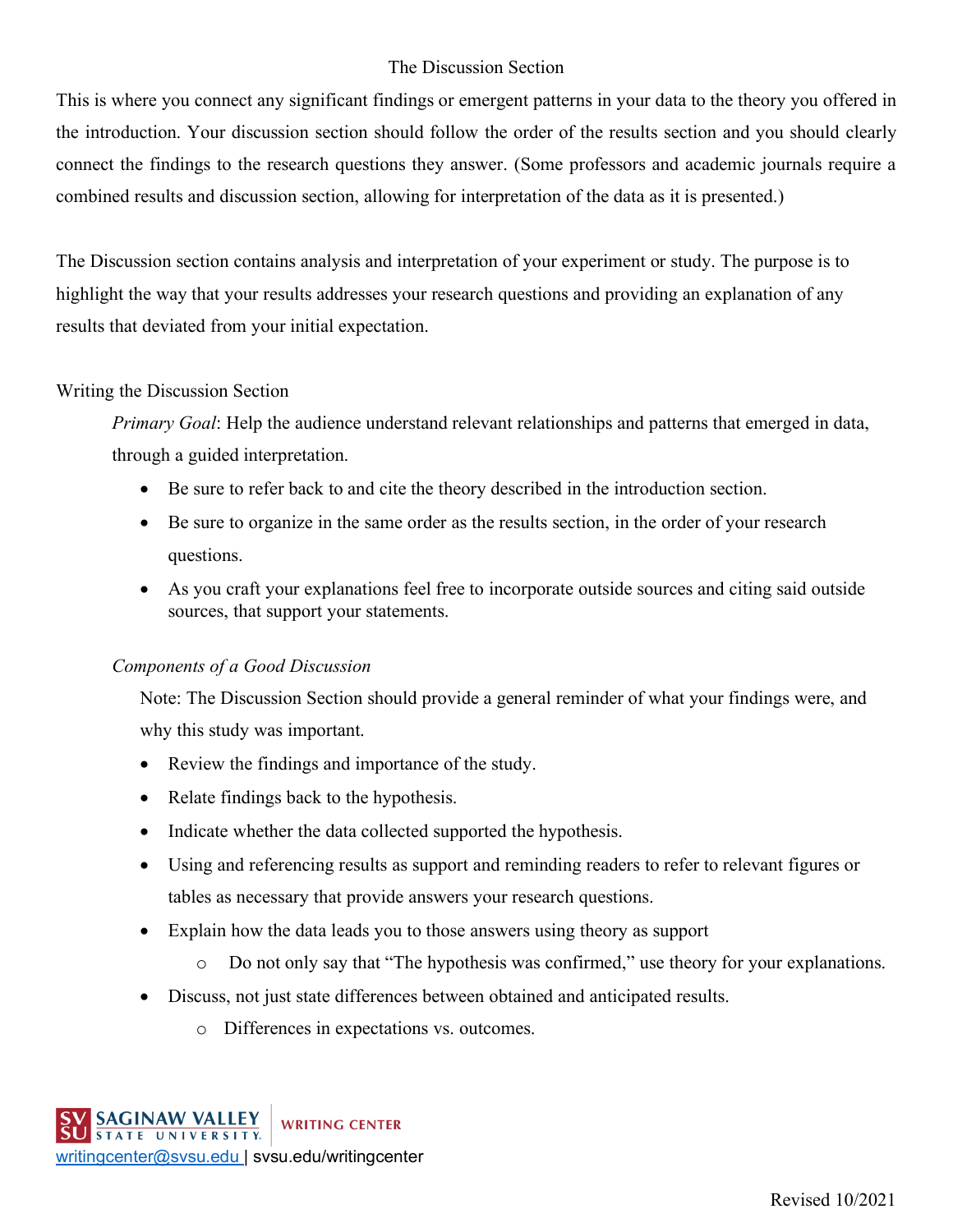## The Discussion Section

This is where you connect any significant findings or emergent patterns in your data to the theory you offered in the introduction. Your discussion section should follow the order of the results section and you should clearly connect the findings to the research questions they answer. (Some professors and academic journals require a combined results and discussion section, allowing for interpretation of the data as it is presented.)

The Discussion section contains analysis and interpretation of your experiment or study. The purpose is to highlight the way that your results addresses your research questions and providing an explanation of any results that deviated from your initial expectation.

### Writing the Discussion Section

*Primary Goal*: Help the audience understand relevant relationships and patterns that emerged in data, through a guided interpretation.

- Be sure to refer back to and cite the theory described in the introduction section.
- Be sure to organize in the same order as the results section, in the order of your research questions.
- As you craft your explanations feel free to incorporate outside sources and citing said outside sources, that support your statements.

### *Components of a Good Discussion*

Note: The Discussion Section should provide a general reminder of what your findings were, and why this study was important.

- Review the findings and importance of the study.
- Relate findings back to the hypothesis.
- Indicate whether the data collected supported the hypothesis.
- Using and referencing results as support and reminding readers to refer to relevant figures or tables as necessary that provide answers your research questions.
- Explain how the data leads you to those answers using theory as support
	- o Do not only say that "The hypothesis was confirmed," use theory for your explanations.
- Discuss, not just state differences between obtained and anticipated results.
	- o Differences in expectations vs. outcomes.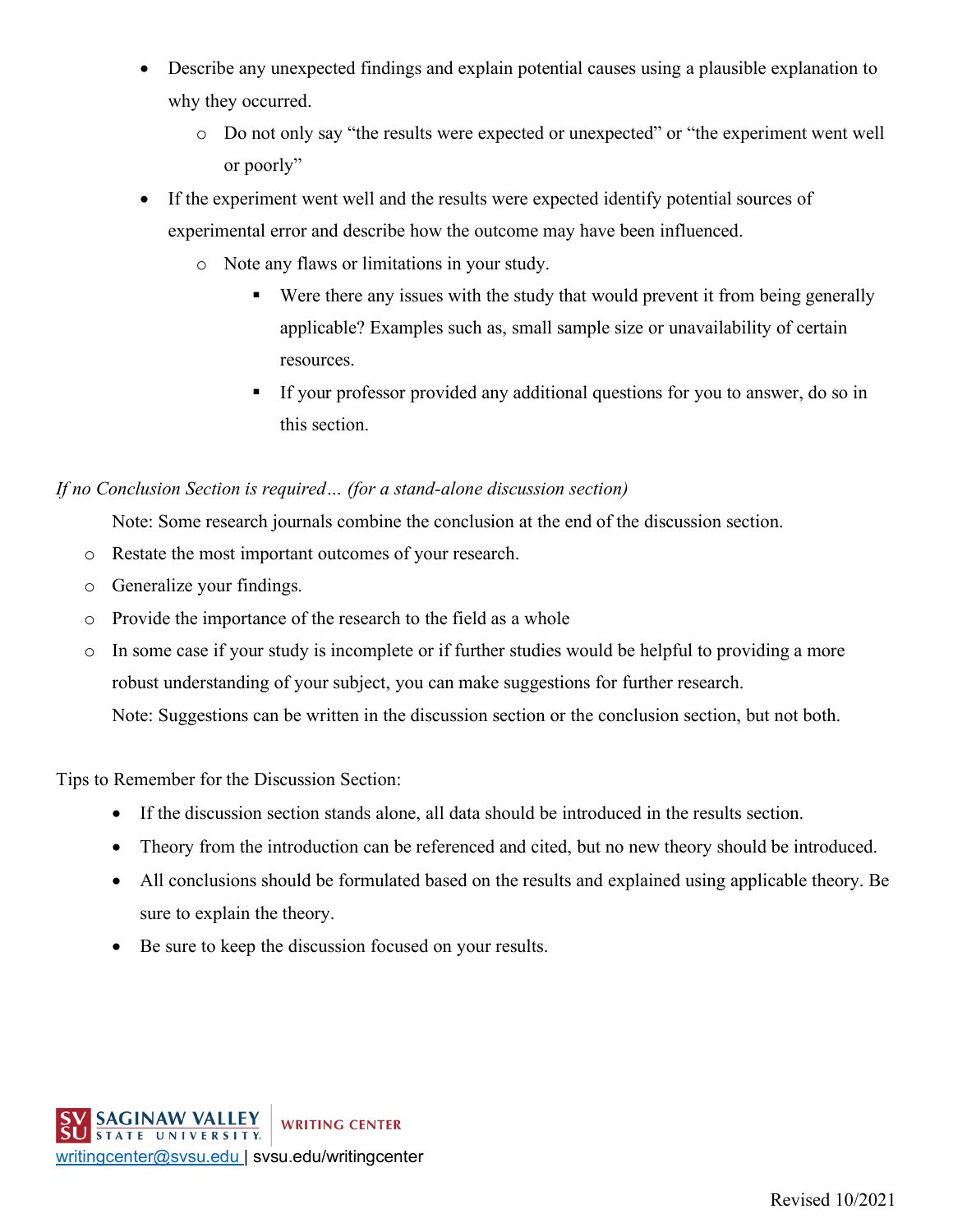- Describe any unexpected findings and explain potential causes using a plausible explanation to why they occurred.
	- o Do not only say "the results were expected or unexpected" or "the experiment went well or poorly"
- If the experiment went well and the results were expected identify potential sources of experimental error and describe how the outcome may have been influenced.
	- o Note any flaws or limitations in your study.
		- Were there any issues with the study that would prevent it from being generally applicable? Examples such as, small sample size or unavailability of certain resources.
		- If your professor provided any additional questions for you to answer, do so in this section.

### *If no Conclusion Section is required… (for a stand-alone discussion section)*

Note: Some research journals combine the conclusion at the end of the discussion section.

- o Restate the most important outcomes of your research.
- o Generalize your findings.
- o Provide the importance of the research to the field as a whole
- o In some case if your study is incomplete or if further studies would be helpful to providing a more robust understanding of your subject, you can make suggestions for further research. Note: Suggestions can be written in the discussion section or the conclusion section, but not both.

Tips to Remember for the Discussion Section:

- If the discussion section stands alone, all data should be introduced in the results section.
- Theory from the introduction can be referenced and cited, but no new theory should be introduced.
- All conclusions should be formulated based on the results and explained using applicable theory. Be sure to explain the theory.
- Be sure to keep the discussion focused on your results.